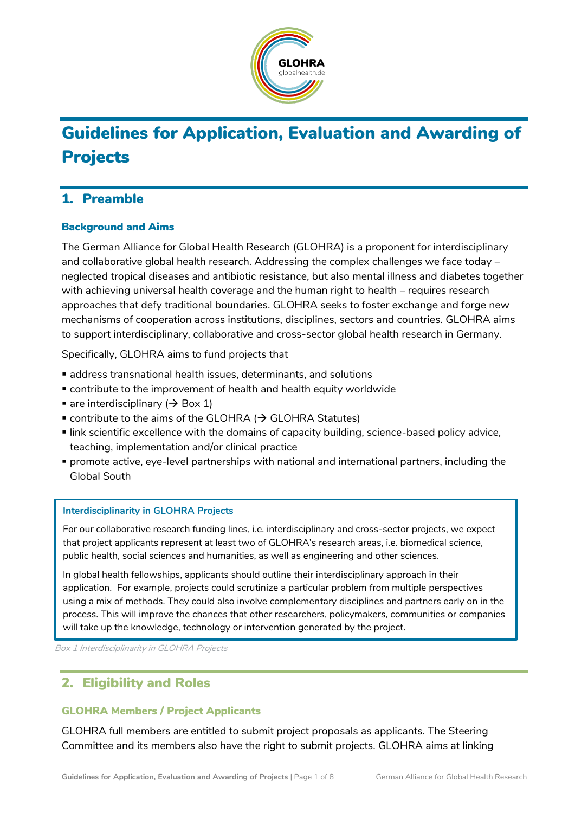

# Guidelines for Application, Evaluation and Awarding of Projects

## 1. Preamble

#### Background and Aims

The German Alliance for Global Health Research (GLOHRA) is a proponent for interdisciplinary and collaborative global health research. Addressing the complex challenges we face today – neglected tropical diseases and antibiotic resistance, but also mental illness and diabetes together with achieving universal health coverage and the human right to health – requires research approaches that defy traditional boundaries. GLOHRA seeks to foster exchange and forge new mechanisms of cooperation across institutions, disciplines, sectors and countries. GLOHRA aims to support interdisciplinary, collaborative and cross-sector global health research in Germany.

Specifically, GLOHRA aims to fund projects that

- address transnational health issues, determinants, and solutions
- contribute to the improvement of health and health equity worldwide
- $\blacksquare$  are interdisciplinary ( $\rightarrow$  Box 1)
- $\bullet$  contribute to the aims of the GLOHRA ( $\rightarrow$  GLOHRA [Statutes\)](https://globalhealth.de/fileadmin/user_upload/Documents/200424_GH_Alliance_Statutes.pdf)
- link scientific excellence with the domains of capacity building, science-based policy advice, teaching, implementation and/or clinical practice
- promote active, eye-level partnerships with national and international partners, including the Global South

#### **Interdisciplinarity in GLOHRA Projects**

For our collaborative research funding lines, i.e. interdisciplinary and cross-sector projects, we expect that project applicants represent at least two of GLOHRA's research areas, i.e. biomedical science, public health, social sciences and humanities, as well as engineering and other sciences.

In global health fellowships, applicants should outline their interdisciplinary approach in their application. For example, projects could scrutinize a particular problem from multiple perspectives using a mix of methods. They could also involve complementary disciplines and partners early on in the process. This will improve the chances that other researchers, policymakers, communities or companies will take up the knowledge, technology or intervention generated by the project.

Box 1 Interdisciplinarity in GLOHRA Projects

## 2. Eligibility and Roles

#### GLOHRA Members / Project Applicants

GLOHRA full members are entitled to submit project proposals as applicants. The Steering Committee and its members also have the right to submit projects. GLOHRA aims at linking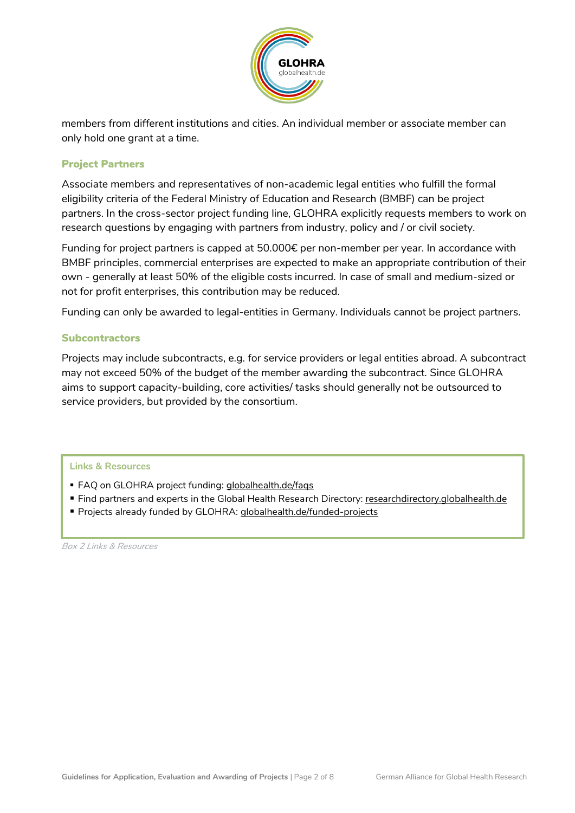

members from different institutions and cities. An individual member or associate member can only hold one grant at a time.

#### Project Partners

Associate members and representatives of non-academic legal entities who fulfill the formal eligibility criteria of the Federal Ministry of Education and Research (BMBF) can be project partners. In the cross-sector project funding line, GLOHRA explicitly requests members to work on research questions by engaging with partners from industry, policy and / or civil society.

Funding for project partners is capped at 50.000€ per non-member per year. In accordance with BMBF principles, commercial enterprises are expected to make an appropriate contribution of their own - generally at least 50% of the eligible costs incurred. In case of small and medium-sized or not for profit enterprises, this contribution may be reduced.

Funding can only be awarded to legal-entities in Germany. Individuals cannot be project partners.

#### **Subcontractors**

Projects may include subcontracts, e.g. for service providers or legal entities abroad. A subcontract may not exceed 50% of the budget of the member awarding the subcontract. Since GLOHRA aims to support capacity-building, core activities/ tasks should generally not be outsourced to service providers, but provided by the consortium.

#### **Links & Resources**

- **FAQ on GLOHRA project funding: [globalhealth.de/faqs](https://globalhealth.de/faqs.html)**
- Find partners and experts in the Global Health Research Directory: [researchdirectory.globalhealth.de](https://researchdirectory.globalhealth.de/)
- Projects already funded by GLOHRA: [globalhealth.de/funded-projects](https://globalhealth.de/funded-projects.html)

Box 2 Links & Resources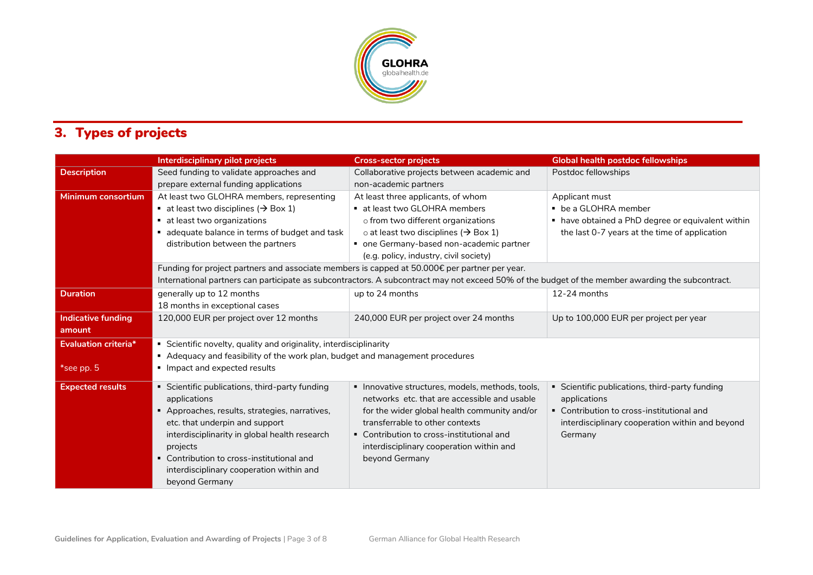

## 3. Types of projects

|                             | Interdisciplinary pilot projects                                                                                                                 | <b>Cross-sector projects</b>                      | <b>Global health postdoc fellowships</b>          |
|-----------------------------|--------------------------------------------------------------------------------------------------------------------------------------------------|---------------------------------------------------|---------------------------------------------------|
| <b>Description</b>          | Seed funding to validate approaches and                                                                                                          | Collaborative projects between academic and       | Postdoc fellowships                               |
|                             | prepare external funding applications                                                                                                            | non-academic partners                             |                                                   |
| Minimum consortium          | At least two GLOHRA members, representing                                                                                                        | At least three applicants, of whom                | Applicant must                                    |
|                             | ■ at least two disciplines ( $\rightarrow$ Box 1)                                                                                                | • at least two GLOHRA members                     | • be a GLOHRA member                              |
|                             | ■ at least two organizations                                                                                                                     | o from two different organizations                | • have obtained a PhD degree or equivalent within |
|                             | adequate balance in terms of budget and task                                                                                                     | o at least two disciplines ( $\rightarrow$ Box 1) | the last 0-7 years at the time of application     |
|                             | distribution between the partners                                                                                                                | • one Germany-based non-academic partner          |                                                   |
|                             |                                                                                                                                                  | (e.g. policy, industry, civil society)            |                                                   |
|                             | Funding for project partners and associate members is capped at 50.000€ per partner per year.                                                    |                                                   |                                                   |
|                             | International partners can participate as subcontractors. A subcontract may not exceed 50% of the budget of the member awarding the subcontract. |                                                   |                                                   |
| <b>Duration</b>             | generally up to 12 months                                                                                                                        | up to 24 months                                   | $12-24$ months                                    |
|                             | 18 months in exceptional cases                                                                                                                   |                                                   |                                                   |
| <b>Indicative funding</b>   | 120,000 EUR per project over 12 months                                                                                                           | 240,000 EUR per project over 24 months            | Up to 100,000 EUR per project per year            |
| amount                      |                                                                                                                                                  |                                                   |                                                   |
| <b>Evaluation criteria*</b> | Scientific novelty, quality and originality, interdisciplinarity                                                                                 |                                                   |                                                   |
|                             | Adequacy and feasibility of the work plan, budget and management procedures                                                                      |                                                   |                                                   |
| *see pp. 5                  | Impact and expected results                                                                                                                      |                                                   |                                                   |
| <b>Expected results</b>     | Scientific publications, third-party funding                                                                                                     | · Innovative structures, models, methods, tools,  | Scientific publications, third-party funding      |
|                             | applications                                                                                                                                     | networks etc. that are accessible and usable      | applications                                      |
|                             | Approaches, results, strategies, narratives,                                                                                                     | for the wider global health community and/or      | • Contribution to cross-institutional and         |
|                             | etc. that underpin and support                                                                                                                   | transferrable to other contexts                   | interdisciplinary cooperation within and beyond   |
|                             | interdisciplinarity in global health research                                                                                                    | • Contribution to cross-institutional and         | Germany                                           |
|                             | projects                                                                                                                                         | interdisciplinary cooperation within and          |                                                   |
|                             | • Contribution to cross-institutional and                                                                                                        |                                                   |                                                   |
|                             |                                                                                                                                                  |                                                   |                                                   |
|                             |                                                                                                                                                  |                                                   |                                                   |
|                             | interdisciplinary cooperation within and<br>beyond Germany                                                                                       | beyond Germany                                    |                                                   |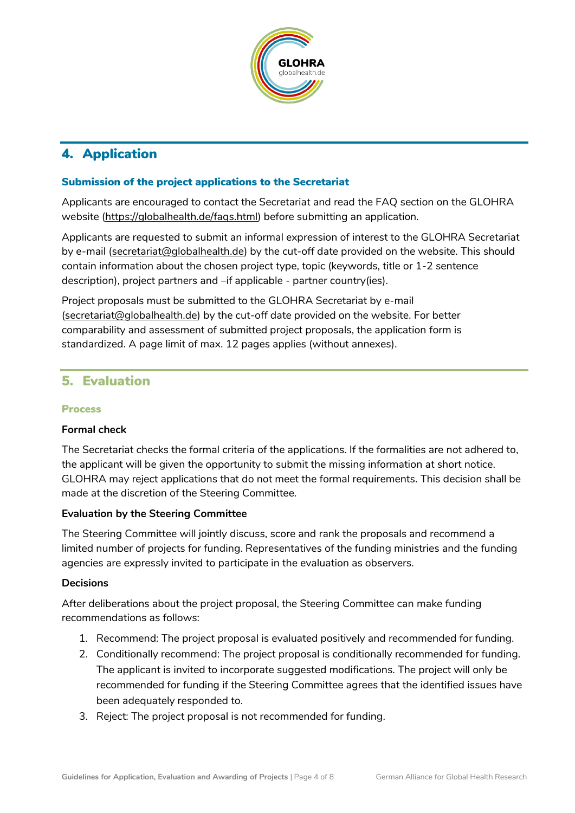

## 4. Application

#### Submission of the project applications to the Secretariat

Applicants are encouraged to contact the Secretariat and read the FAQ section on the GLOHRA website [\(https://globalhealth.de/faqs.html\)](https://globalhealth.de/faqs.html) before submitting an application.

Applicants are requested to submit an informal expression of interest to the GLOHRA Secretariat by e-mail [\(secretariat@globalhealth.de\)](mailto:secretariat@globalhealth.de) by the cut-off date provided on the website. This should contain information about the chosen project type, topic (keywords, title or 1-2 sentence description), project partners and –if applicable - partner country(ies).

Project proposals must be submitted to the GLOHRA Secretariat by e-mail [\(secretariat@globalhealth.de\)](mailto:secretariat@globalhealth.de) by the cut-off date provided on the website. For better comparability and assessment of submitted project proposals, the application form is standardized. A page limit of max. 12 pages applies (without annexes).

#### 5. Evaluation

#### Process

#### **Formal check**

The Secretariat checks the formal criteria of the applications. If the formalities are not adhered to, the applicant will be given the opportunity to submit the missing information at short notice. GLOHRA may reject applications that do not meet the formal requirements. This decision shall be made at the discretion of the Steering Committee.

#### **Evaluation by the Steering Committee**

The Steering Committee will jointly discuss, score and rank the proposals and recommend a limited number of projects for funding. Representatives of the funding ministries and the funding agencies are expressly invited to participate in the evaluation as observers.

#### **Decisions**

After deliberations about the project proposal, the Steering Committee can make funding recommendations as follows:

- 1. Recommend: The project proposal is evaluated positively and recommended for funding.
- 2. Conditionally recommend: The project proposal is conditionally recommended for funding. The applicant is invited to incorporate suggested modifications. The project will only be recommended for funding if the Steering Committee agrees that the identified issues have been adequately responded to.
- 3. Reject: The project proposal is not recommended for funding.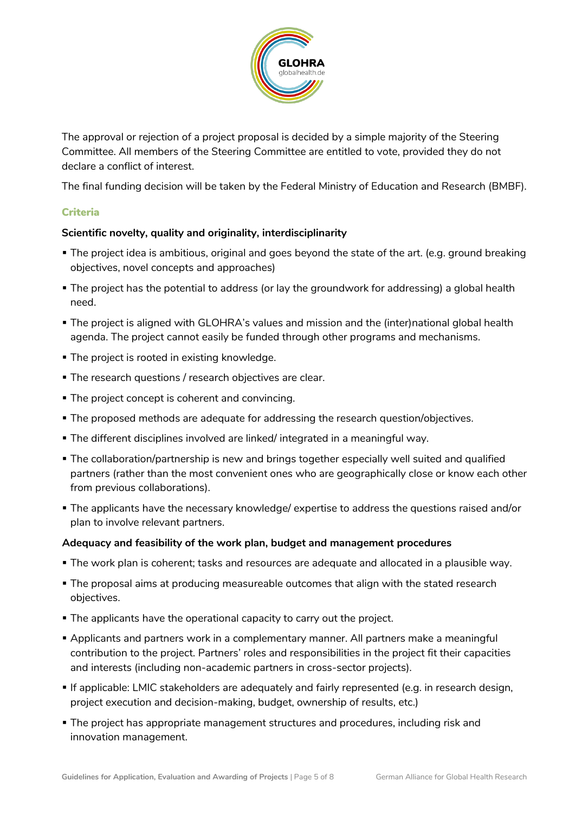

The approval or rejection of a project proposal is decided by a simple majority of the Steering Committee. All members of the Steering Committee are entitled to vote, provided they do not declare a conflict of interest.

The final funding decision will be taken by the Federal Ministry of Education and Research (BMBF).

#### Criteria

#### **Scientific novelty, quality and originality, interdisciplinarity**

- The project idea is ambitious, original and goes beyond the state of the art. (e.g. ground breaking objectives, novel concepts and approaches)
- The project has the potential to address (or lay the groundwork for addressing) a global health need.
- The project is aligned with GLOHRA's values and mission and the (inter)national global health agenda. The project cannot easily be funded through other programs and mechanisms.
- The project is rooted in existing knowledge.
- **The research questions / research objectives are clear.**
- The project concept is coherent and convincing.
- The proposed methods are adequate for addressing the research question/objectives.
- The different disciplines involved are linked/ integrated in a meaningful way.
- **The collaboration/partnership is new and brings together especially well suited and qualified** partners (rather than the most convenient ones who are geographically close or know each other from previous collaborations).
- The applicants have the necessary knowledge/ expertise to address the questions raised and/or plan to involve relevant partners.

#### **Adequacy and feasibility of the work plan, budget and management procedures**

- The work plan is coherent; tasks and resources are adequate and allocated in a plausible way.
- **The proposal aims at producing measureable outcomes that align with the stated research** objectives.
- **The applicants have the operational capacity to carry out the project.**
- **Applicants and partners work in a complementary manner. All partners make a meaningful** contribution to the project. Partners' roles and responsibilities in the project fit their capacities and interests (including non-academic partners in cross-sector projects).
- If applicable: LMIC stakeholders are adequately and fairly represented (e.g. in research design, project execution and decision-making, budget, ownership of results, etc.)
- The project has appropriate management structures and procedures, including risk and innovation management.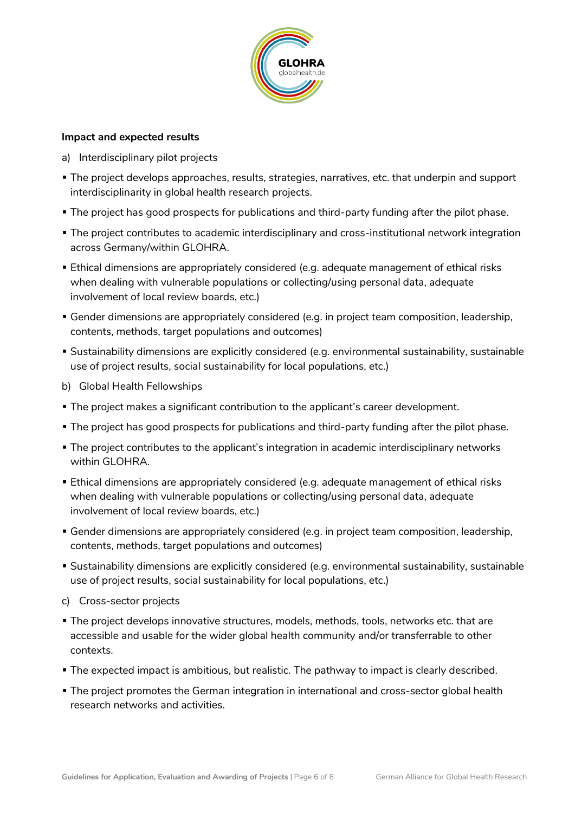

#### **Impact and expected results**

- a) Interdisciplinary pilot projects
- The project develops approaches, results, strategies, narratives, etc. that underpin and support interdisciplinarity in global health research projects.
- The project has good prospects for publications and third-party funding after the pilot phase.
- The project contributes to academic interdisciplinary and cross-institutional network integration across Germany/within GLOHRA.
- Ethical dimensions are appropriately considered (e.g. adequate management of ethical risks when dealing with vulnerable populations or collecting/using personal data, adequate involvement of local review boards, etc.)
- Gender dimensions are appropriately considered (e.g. in project team composition, leadership, contents, methods, target populations and outcomes)
- Sustainability dimensions are explicitly considered (e.g. environmental sustainability, sustainable use of project results, social sustainability for local populations, etc.)
- b) Global Health Fellowships
- The project makes a significant contribution to the applicant's career development.
- **The project has good prospects for publications and third-party funding after the pilot phase.**
- The project contributes to the applicant's integration in academic interdisciplinary networks within GLOHRA.
- Ethical dimensions are appropriately considered (e.g. adequate management of ethical risks when dealing with vulnerable populations or collecting/using personal data, adequate involvement of local review boards, etc.)
- Gender dimensions are appropriately considered (e.g. in project team composition, leadership, contents, methods, target populations and outcomes)
- Sustainability dimensions are explicitly considered (e.g. environmental sustainability, sustainable use of project results, social sustainability for local populations, etc.)
- c) Cross-sector projects
- The project develops innovative structures, models, methods, tools, networks etc. that are accessible and usable for the wider global health community and/or transferrable to other contexts.
- **The expected impact is ambitious, but realistic. The pathway to impact is clearly described.**
- The project promotes the German integration in international and cross-sector global health research networks and activities.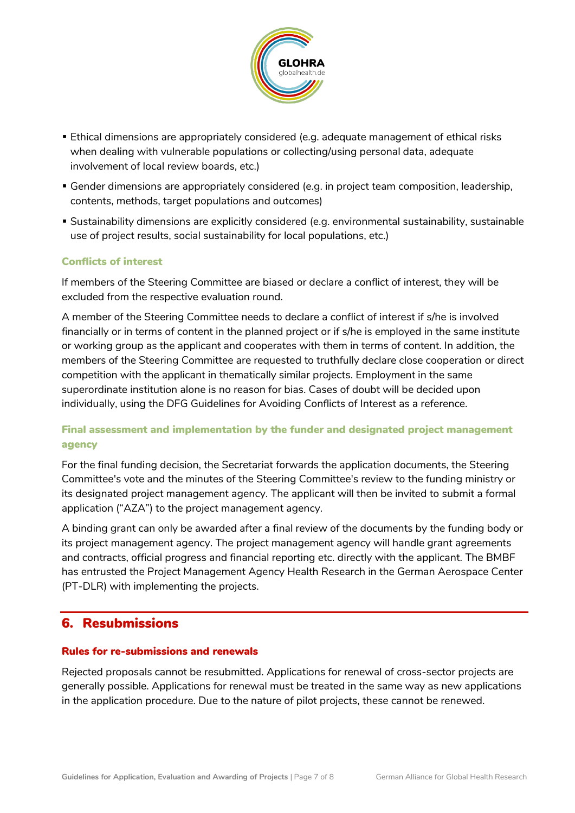

- Ethical dimensions are appropriately considered (e.g. adequate management of ethical risks when dealing with vulnerable populations or collecting/using personal data, adequate involvement of local review boards, etc.)
- Gender dimensions are appropriately considered (e.g. in project team composition, leadership, contents, methods, target populations and outcomes)
- Sustainability dimensions are explicitly considered (e.g. environmental sustainability, sustainable use of project results, social sustainability for local populations, etc.)

#### Conflicts of interest

If members of the Steering Committee are biased or declare a conflict of interest, they will be excluded from the respective evaluation round.

A member of the Steering Committee needs to declare a conflict of interest if s/he is involved financially or in terms of content in the planned project or if s/he is employed in the same institute or working group as the applicant and cooperates with them in terms of content. In addition, the members of the Steering Committee are requested to truthfully declare close cooperation or direct competition with the applicant in thematically similar projects. Employment in the same superordinate institution alone is no reason for bias. Cases of doubt will be decided upon individually, using the DFG Guidelines for Avoiding Conflicts of Interest as a reference.

#### Final assessment and implementation by the funder and designated project management agency

For the final funding decision, the Secretariat forwards the application documents, the Steering Committee's vote and the minutes of the Steering Committee's review to the funding ministry or its designated project management agency. The applicant will then be invited to submit a formal application ("AZA") to the project management agency.

A binding grant can only be awarded after a final review of the documents by the funding body or its project management agency. The project management agency will handle grant agreements and contracts, official progress and financial reporting etc. directly with the applicant. The BMBF has entrusted the Project Management Agency Health Research in the German Aerospace Center (PT-DLR) with implementing the projects.

#### 6. Resubmissions

#### Rules for re-submissions and renewals

Rejected proposals cannot be resubmitted. Applications for renewal of cross-sector projects are generally possible. Applications for renewal must be treated in the same way as new applications in the application procedure. Due to the nature of pilot projects, these cannot be renewed.